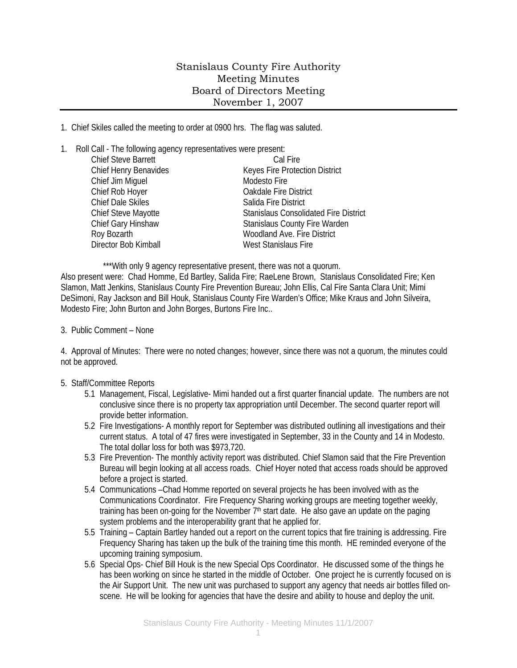## Stanislaus County Fire Authority Meeting Minutes Board of Directors Meeting November 1, 2007

1. Chief Skiles called the meeting to order at 0900 hrs. The flag was saluted.

1. Roll Call - The following agency representatives were present:

| <b>Chief Steve Barrett</b> | Cal Fire                                     |
|----------------------------|----------------------------------------------|
| Chief Henry Benavides      | Keyes Fire Protection District               |
| Chief Jim Miguel           | Modesto Fire                                 |
| Chief Rob Hoyer            | <b>Oakdale Fire District</b>                 |
| <b>Chief Dale Skiles</b>   | Salida Fire District                         |
| Chief Steve Mayotte        | <b>Stanislaus Consolidated Fire District</b> |
| Chief Gary Hinshaw         | <b>Stanislaus County Fire Warden</b>         |
| Roy Bozarth                | Woodland Ave. Fire District                  |
| Director Bob Kimball       | West Stanislaus Fire                         |
|                            |                                              |

\*\*\*With only 9 agency representative present, there was not a quorum. Also present were: Chad Homme, Ed Bartley, Salida Fire; RaeLene Brown, Stanislaus Consolidated Fire; Ken Slamon, Matt Jenkins, Stanislaus County Fire Prevention Bureau; John Ellis, Cal Fire Santa Clara Unit; Mimi DeSimoni, Ray Jackson and Bill Houk, Stanislaus County Fire Warden's Office; Mike Kraus and John Silveira, Modesto Fire; John Burton and John Borges, Burtons Fire Inc..

3. Public Comment – None

4. Approval of Minutes: There were no noted changes; however, since there was not a quorum, the minutes could not be approved.

## 5. Staff/Committee Reports

- 5.1 Management, Fiscal, Legislative- Mimi handed out a first quarter financial update. The numbers are not conclusive since there is no property tax appropriation until December. The second quarter report will provide better information.
- 5.2 Fire Investigations- A monthly report for September was distributed outlining all investigations and their current status. A total of 47 fires were investigated in September, 33 in the County and 14 in Modesto. The total dollar loss for both was \$973,720.
- 5.3 Fire Prevention- The monthly activity report was distributed. Chief Slamon said that the Fire Prevention Bureau will begin looking at all access roads. Chief Hoyer noted that access roads should be approved before a project is started.
- 5.4 Communications –Chad Homme reported on several projects he has been involved with as the Communications Coordinator. Fire Frequency Sharing working groups are meeting together weekly, training has been on-going for the November 7<sup>th</sup> start date. He also gave an update on the paging system problems and the interoperability grant that he applied for.
- 5.5 Training Captain Bartley handed out a report on the current topics that fire training is addressing. Fire Frequency Sharing has taken up the bulk of the training time this month. HE reminded everyone of the upcoming training symposium.
- 5.6 Special Ops- Chief Bill Houk is the new Special Ops Coordinator. He discussed some of the things he has been working on since he started in the middle of October. One project he is currently focused on is the Air Support Unit. The new unit was purchased to support any agency that needs air bottles filled onscene. He will be looking for agencies that have the desire and ability to house and deploy the unit.